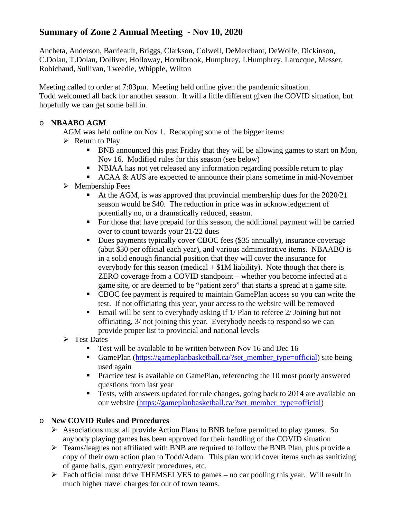### **Summary of Zone 2 Annual Meeting - Nov 10, 2020**

Ancheta, Anderson, Barrieault, Briggs, Clarkson, Colwell, DeMerchant, DeWolfe, Dickinson, C.Dolan, T.Dolan, Dolliver, Holloway, Hornibrook, Humphrey, I.Humphrey, Larocque, Messer, Robichaud, Sullivan, Tweedie, Whipple, Wilton

Meeting called to order at 7:03pm. Meeting held online given the pandemic situation. Todd welcomed all back for another season. It will a little different given the COVID situation, but hopefully we can get some ball in.

#### o **NBAABO AGM**

AGM was held online on Nov 1. Recapping some of the bigger items:

- $\triangleright$  Return to Play
	- BNB announced this past Friday that they will be allowing games to start on Mon, Nov 16. Modified rules for this season (see below)
	- NBIAA has not yet released any information regarding possible return to play
	- ACAA & AUS are expected to announce their plans sometime in mid-November
- $\triangleright$  Membership Fees
	- At the AGM, is was approved that provincial membership dues for the 2020/21 season would be \$40. The reduction in price was in acknowledgement of potentially no, or a dramatically reduced, season.
	- For those that have prepaid for this season, the additional payment will be carried over to count towards your 21/22 dues
	- Dues payments typically cover CBOC fees (\$35 annually), insurance coverage (abut \$30 per official each year), and various administrative items. NBAABO is in a solid enough financial position that they will cover the insurance for everybody for this season (medical  $+ $1M$  liability). Note though that there is ZERO coverage from a COVID standpoint – whether you become infected at a game site, or are deemed to be "patient zero" that starts a spread at a game site.
	- CBOC fee payment is required to maintain GamePlan access so you can write the test. If not officiating this year, your access to the website will be removed
	- Email will be sent to everybody asking if  $1/$  Plan to referee  $2/$  Joining but not officiating, 3/ not joining this year. Everybody needs to respond so we can provide proper list to provincial and national levels
- $\triangleright$  Test Dates
	- Test will be available to be written between Nov 16 and Dec 16
	- GamePlan [\(https://gameplanbasketball.ca/?set\\_member\\_type=official\)](https://gameplanbasketball.ca/?set_member_type=official) site being used again
	- Practice test is available on GamePlan, referencing the 10 most poorly answered questions from last year
	- Tests, with answers updated for rule changes, going back to 2014 are available on our website [\(https://gameplanbasketball.ca/?set\\_member\\_type=official\)](https://gameplanbasketball.ca/?set_member_type=official)

#### o **New COVID Rules and Procedures**

- $\triangleright$  Associations must all provide Action Plans to BNB before permitted to play games. So anybody playing games has been approved for their handling of the COVID situation
- Teams/leagues not affiliated with BNB are required to follow the BNB Plan, plus provide a copy of their own action plan to Todd/Adam. This plan would cover items such as sanitizing of game balls, gym entry/exit procedures, etc.
- $\triangleright$  Each official must drive THEMSELVES to games no car pooling this year. Will result in much higher travel charges for out of town teams.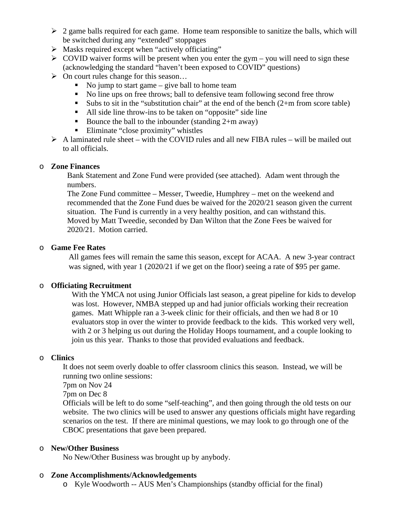- $\geq 2$  game balls required for each game. Home team responsible to sanitize the balls, which will be switched during any "extended" stoppages
- $\triangleright$  Masks required except when "actively officiating"
- $\triangleright$  COVID waiver forms will be present when you enter the gym you will need to sign these (acknowledging the standard "haven't been exposed to COVID" questions)
- $\triangleright$  On court rules change for this season...
	- No jump to start game give ball to home team
	- No line ups on free throws; ball to defensive team following second free throw
	- Subs to sit in the "substitution chair" at the end of the bench  $(2+m$  from score table)
	- All side line throw-ins to be taken on "opposite" side line
	- Bounce the ball to the inbounder (standing  $2+m$  away)
	- Eliminate "close proximity" whistles
- $\triangleright$  A laminated rule sheet with the COVID rules and all new FIBA rules will be mailed out to all officials.

#### o **Zone Finances**

Bank Statement and Zone Fund were provided (see attached). Adam went through the numbers.

The Zone Fund committee – Messer, Tweedie, Humphrey – met on the weekend and recommended that the Zone Fund dues be waived for the 2020/21 season given the current situation. The Fund is currently in a very healthy position, and can withstand this. Moved by Matt Tweedie, seconded by Dan Wilton that the Zone Fees be waived for 2020/21. Motion carried.

#### o **Game Fee Rates**

All games fees will remain the same this season, except for ACAA. A new 3-year contract was signed, with year 1 (2020/21 if we get on the floor) seeing a rate of \$95 per game.

#### o **Officiating Recruitment**

With the YMCA not using Junior Officials last season, a great pipeline for kids to develop was lost. However, NMBA stepped up and had junior officials working their recreation games. Matt Whipple ran a 3-week clinic for their officials, and then we had 8 or 10 evaluators stop in over the winter to provide feedback to the kids. This worked very well, with 2 or 3 helping us out during the Holiday Hoops tournament, and a couple looking to join us this year. Thanks to those that provided evaluations and feedback.

#### o **Clinics**

It does not seem overly doable to offer classroom clinics this season. Instead, we will be running two online sessions:

7pm on Nov 24

7pm on Dec 8

Officials will be left to do some "self-teaching", and then going through the old tests on our website. The two clinics will be used to answer any questions officials might have regarding scenarios on the test. If there are minimal questions, we may look to go through one of the CBOC presentations that gave been prepared.

#### o **New/Other Business**

No New/Other Business was brought up by anybody.

#### o **Zone Accomplishments/Acknowledgements**

o Kyle Woodworth -- AUS Men's Championships (standby official for the final)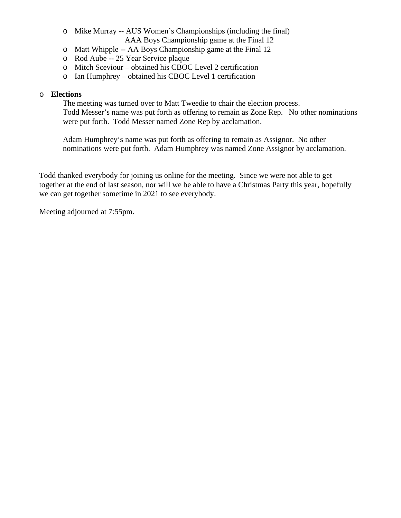- o Mike Murray -- AUS Women's Championships (including the final) AAA Boys Championship game at the Final 12
- o Matt Whipple -- AA Boys Championship game at the Final 12
- o Rod Aube -- 25 Year Service plaque
- o Mitch Sceviour obtained his CBOC Level 2 certification
- o Ian Humphrey obtained his CBOC Level 1 certification

#### o **Elections**

The meeting was turned over to Matt Tweedie to chair the election process. Todd Messer's name was put forth as offering to remain as Zone Rep. No other nominations were put forth. Todd Messer named Zone Rep by acclamation.

Adam Humphrey's name was put forth as offering to remain as Assignor. No other nominations were put forth. Adam Humphrey was named Zone Assignor by acclamation.

Todd thanked everybody for joining us online for the meeting. Since we were not able to get together at the end of last season, nor will we be able to have a Christmas Party this year, hopefully we can get together sometime in 2021 to see everybody.

Meeting adjourned at 7:55pm.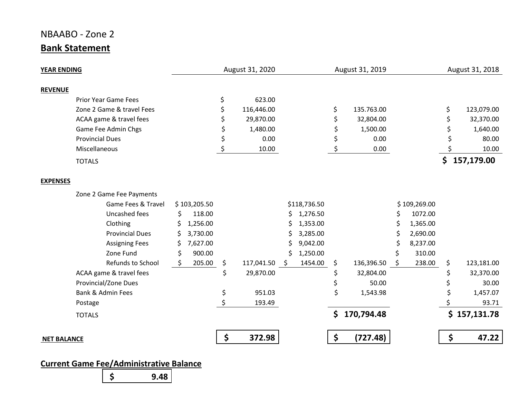## NBAABO - Zone 2 **Bank Statement**

| <b>YEAR ENDING</b>          |                |    | August 31, 2020  | August 31, 2019 |              |    |            |    | August 31, 2018 |                   |              |
|-----------------------------|----------------|----|------------------|-----------------|--------------|----|------------|----|-----------------|-------------------|--------------|
| <b>REVENUE</b>              |                |    |                  |                 |              |    |            |    |                 |                   |              |
| <b>Prior Year Game Fees</b> |                | \$ | 623.00           |                 |              |    |            |    |                 |                   |              |
| Zone 2 Game & travel Fees   |                |    | 116,446.00       |                 |              | \$ | 135.763.00 |    |                 | \$                | 123,079.00   |
| ACAA game & travel fees     |                |    | 29,870.00        |                 |              | \$ | 32,804.00  |    |                 |                   | 32,370.00    |
| Game Fee Admin Chgs         |                |    | 1,480.00<br>0.00 |                 |              | \$ | 1,500.00   |    |                 | 1,640.00<br>80.00 |              |
| <b>Provincial Dues</b>      |                |    |                  |                 |              | \$ | 0.00       |    |                 |                   |              |
| Miscellaneous               |                |    | 10.00            |                 |              | \$ | 0.00       |    |                 |                   | 10.00        |
| <b>TOTALS</b>               |                |    |                  |                 |              |    |            |    |                 |                   | \$157,179.00 |
| <b>EXPENSES</b>             |                |    |                  |                 |              |    |            |    |                 |                   |              |
| Zone 2 Game Fee Payments    |                |    |                  |                 |              |    |            |    |                 |                   |              |
| Game Fees & Travel          | \$103,205.50   |    |                  |                 | \$118,736.50 |    |            |    | \$109,269.00    |                   |              |
| Uncashed fees               | \$<br>118.00   |    |                  | S               | 1,276.50     |    |            | \$ | 1072.00         |                   |              |
| Clothing                    | 1,256.00<br>\$ |    |                  |                 | 1,353.00     |    |            |    | 1,365.00        |                   |              |
| <b>Provincial Dues</b>      | 3,730.00<br>S  |    |                  |                 | 3,285.00     |    |            |    | 2,690.00        |                   |              |
| <b>Assigning Fees</b>       | 7,627.00<br>Ś  |    |                  |                 | 9,042.00     |    |            | Ś  | 8,237.00        |                   |              |
| Zone Fund                   | 900.00<br>\$   |    |                  | Ś               | 1,250.00     |    |            |    | 310.00          |                   |              |
| Refunds to School           | 205.00<br>S.   | \$ | 117,041.50       | - \$            | 1454.00      | \$ | 136,396.50 | \$ | 238.00          | \$                | 123,181.00   |
| ACAA game & travel fees     |                | \$ | 29,870.00        |                 |              | \$ | 32,804.00  |    |                 | \$                | 32,370.00    |
| Provincial/Zone Dues        |                |    |                  |                 |              | \$ | 50.00      |    |                 |                   | 30.00        |
| Bank & Admin Fees           |                | \$ | 951.03           |                 |              | \$ | 1,543.98   |    |                 |                   | 1,457.07     |
| Postage                     |                |    | 193.49           |                 |              |    |            |    |                 |                   | 93.71        |
| <b>TOTALS</b>               |                |    |                  |                 |              | \$ | 170,794.48 |    |                 |                   | \$157,131.78 |
| <b>NET BALANCE</b>          |                | \$ | 372.98           |                 |              | \$ | (727.48)   |    |                 | \$                | 47.22        |

## **Current Game Fee/Administrative Balance**